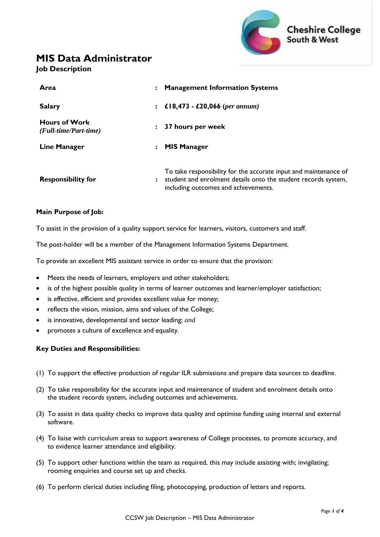

# **MIS Data Administrator**

### **Job Description**

| Area                                          | <b>Management Information Systems</b>                                                                                                                                      |
|-----------------------------------------------|----------------------------------------------------------------------------------------------------------------------------------------------------------------------------|
| <b>Salary</b>                                 | £18,473 - £20,066 (per annum)<br>$\ddot{\phantom{a}}$                                                                                                                      |
| <b>Hours of Work</b><br>(Full-time/Part-time) | 37 hours per week                                                                                                                                                          |
| Line Manager                                  | <b>MIS Manager</b>                                                                                                                                                         |
| <b>Responsibility for</b>                     | To take responsibility for the accurate input and maintenance of<br>student and enrolment details onto the student records system,<br>including outcomes and achievements. |

#### **Main Purpose of Job:**

To assist in the provision of a quality support service for learners, visitors, customers and staff.

The post-holder will be a member of the Management Information Systems Department.

To provide an excellent MIS assistant service in order to ensure that the provision:

- Meets the needs of learners, employers and other stakeholders;
- is of the highest possible quality in terms of learner outcomes and learner/employer satisfaction;
- is effective, efficient and provides excellent value for money;
- reflects the vision, mission, aims and values of the College;
- is innovative, developmental and sector leading; *and*
- promotes a culture of excellence and equality.

#### **Key Duties and Responsibilities:**

- (1) To support the effective production of regular ILR submissions and prepare data sources to deadline.
- (2) To take responsibility for the accurate input and maintenance of student and enrolment details onto the student records system, including outcomes and achievements.
- (3) To assist in data quality checks to improve data quality and optimise funding using internal and external software.
- (4) To liaise with curriculum areas to support awareness of College processes, to promote accuracy, and to evidence learner attendance and eligibility.
- (5) To support other functions within the team as required, this may include assisting with; invigilating; rooming enquiries and course set up and checks.
- (6) To perform clerical duties including filing, photocopying, production of letters and reports.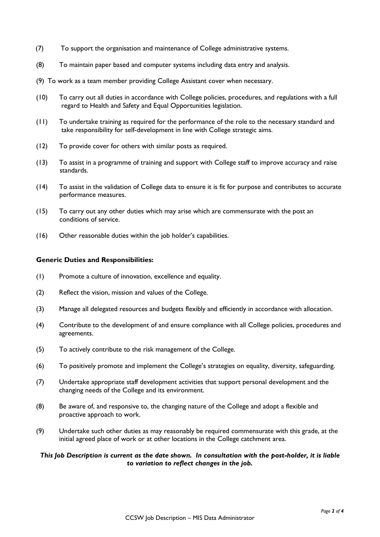- (7) To support the organisation and maintenance of College administrative systems.
- (8) To maintain paper based and computer systems including data entry and analysis.
- (9) To work as a team member providing College Assistant cover when necessary.
- (10) To carry out all duties in accordance with College policies, procedures, and regulations with a full regard to Health and Safety and Equal Opportunities legislation.
- (11) To undertake training as required for the performance of the role to the necessary standard and take responsibility for self-development in line with College strategic aims.
- (12) To provide cover for others with similar posts as required.
- (13) To assist in a programme of training and support with College staff to improve accuracy and raise standards.
- (14) To assist in the validation of College data to ensure it is fit for purpose and contributes to accurate performance measures.
- (15) To carry out any other duties which may arise which are commensurate with the post an conditions of service.
- (16) Other reasonable duties within the job holder's capabilities.

#### **Generic Duties and Responsibilities:**

- (1) Promote a culture of innovation, excellence and equality.
- (2) Reflect the vision, mission and values of the College.
- (3) Manage all delegated resources and budgets flexibly and efficiently in accordance with allocation.
- (4) Contribute to the development of and ensure compliance with all College policies, procedures and agreements.
- (5) To actively contribute to the risk management of the College.
- (6) To positively promote and implement the College's strategies on equality, diversity, safeguarding.
- (7) Undertake appropriate staff development activities that support personal development and the changing needs of the College and its environment.
- (8) Be aware of, and responsive to, the changing nature of the College and adopt a flexible and proactive approach to work.
- (9) Undertake such other duties as may reasonably be required commensurate with this grade, at the initial agreed place of work or at other locations in the College catchment area.

#### *This Job Description is current as the date shown. In consultation with the post-holder, it is liable to variation to reflect changes in the job.*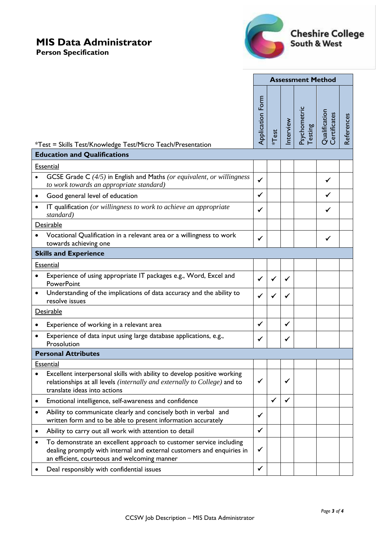# **MIS Data Administrator**

**Person Specification**



|                                     |                                                                                                                                                                                              | <b>Assessment Method</b> |              |          |                         |                               |            |  |  |
|-------------------------------------|----------------------------------------------------------------------------------------------------------------------------------------------------------------------------------------------|--------------------------|--------------|----------|-------------------------|-------------------------------|------------|--|--|
|                                     | *Test = Skills Test/Knowledge Test/Micro Teach/Presentation                                                                                                                                  | <b>Application Form</b>  | <b>*Test</b> | nterview | Psychometric<br>Testing | Qualification<br>Certificates | References |  |  |
| <b>Education and Qualifications</b> |                                                                                                                                                                                              |                          |              |          |                         |                               |            |  |  |
| Essential                           |                                                                                                                                                                                              |                          |              |          |                         |                               |            |  |  |
|                                     | GCSE Grade C (4/5) in English and Maths (or equivalent, or willingness<br>to work towards an appropriate standard)                                                                           | ✓                        |              |          |                         | ✓                             |            |  |  |
| ٠                                   | Good general level of education                                                                                                                                                              | ✓                        |              |          |                         |                               |            |  |  |
| $\bullet$                           | IT qualification (or willingness to work to achieve an appropriate<br>standard)                                                                                                              | ✔                        |              |          |                         | ✓                             |            |  |  |
| Desirable                           |                                                                                                                                                                                              |                          |              |          |                         |                               |            |  |  |
|                                     | Vocational Qualification in a relevant area or a willingness to work<br>towards achieving one                                                                                                | $\checkmark$             |              |          |                         | ✓                             |            |  |  |
|                                     | <b>Skills and Experience</b>                                                                                                                                                                 |                          |              |          |                         |                               |            |  |  |
| <b>Essential</b>                    |                                                                                                                                                                                              |                          |              |          |                         |                               |            |  |  |
|                                     | Experience of using appropriate IT packages e.g., Word, Excel and<br><b>PowerPoint</b>                                                                                                       | ✔                        |              |          |                         |                               |            |  |  |
| $\bullet$                           | Understanding of the implications of data accuracy and the ability to<br>resolve issues                                                                                                      |                          |              |          |                         |                               |            |  |  |
| Desirable                           |                                                                                                                                                                                              |                          |              |          |                         |                               |            |  |  |
| ٠                                   | Experience of working in a relevant area                                                                                                                                                     | $\checkmark$             |              | ✔        |                         |                               |            |  |  |
|                                     | Experience of data input using large database applications, e.g.,<br>Prosolution                                                                                                             | ✓                        |              | ✔        |                         |                               |            |  |  |
|                                     | <b>Personal Attributes</b>                                                                                                                                                                   |                          |              |          |                         |                               |            |  |  |
|                                     | Essential                                                                                                                                                                                    |                          |              |          |                         |                               |            |  |  |
|                                     | Excellent interpersonal skills with ability to develop positive working<br>relationships at all levels (internally and externally to College) and to<br>translate ideas into actions         | ✔                        |              | ✓        |                         |                               |            |  |  |
| ٠                                   | Emotional intelligence, self-awareness and confidence                                                                                                                                        |                          | $\checkmark$ | ✓        |                         |                               |            |  |  |
| $\bullet$                           | Ability to communicate clearly and concisely both in verbal and<br>written form and to be able to present information accurately                                                             | ✔                        |              |          |                         |                               |            |  |  |
| ٠                                   | Ability to carry out all work with attention to detail                                                                                                                                       | $\checkmark$             |              |          |                         |                               |            |  |  |
|                                     | To demonstrate an excellent approach to customer service including<br>dealing promptly with internal and external customers and enquiries in<br>an efficient, courteous and welcoming manner | ✔                        |              |          |                         |                               |            |  |  |
|                                     | Deal responsibly with confidential issues                                                                                                                                                    | ✓                        |              |          |                         |                               |            |  |  |
|                                     |                                                                                                                                                                                              |                          |              |          |                         |                               |            |  |  |